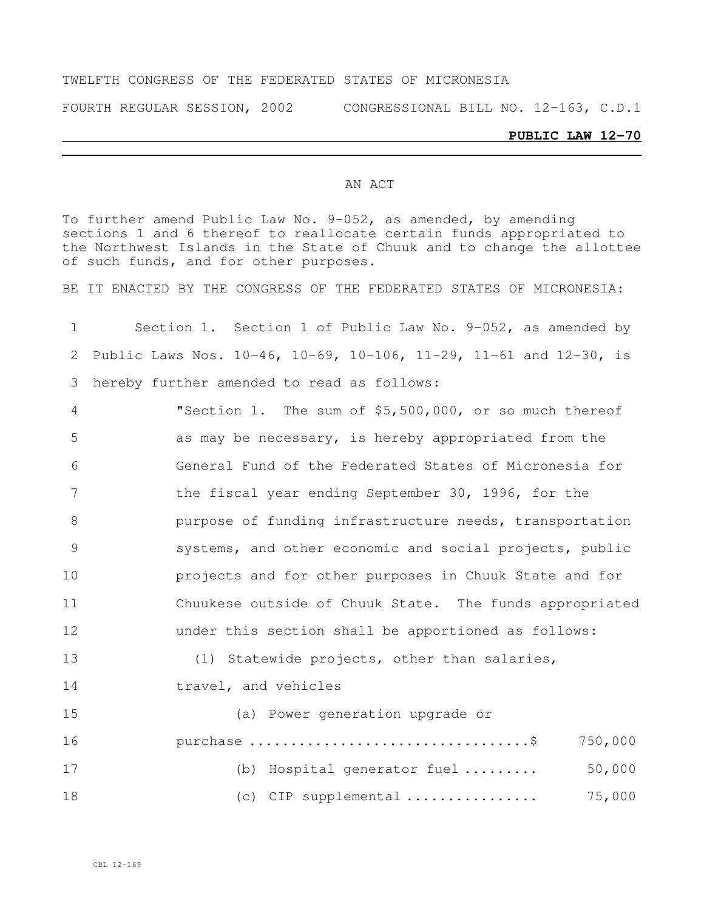#### TWELFTH CONGRESS OF THE FEDERATED STATES OF MICRONESIA

FOURTH REGULAR SESSION, 2002 CONGRESSIONAL BILL NO. 12-163, C.D.1

#### **PUBLIC LAW 12-70**

#### AN ACT

To further amend Public Law No. 9-052, as amended, by amending sections 1 and 6 thereof to reallocate certain funds appropriated to the Northwest Islands in the State of Chuuk and to change the allottee of such funds, and for other purposes.

BE IT ENACTED BY THE CONGRESS OF THE FEDERATED STATES OF MICRONESIA:

 Section 1. Section 1 of Public Law No. 9-052, as amended by Public Laws Nos. 10-46, 10-69, 10-106, 11-29, 11-61 and 12-30, is hereby further amended to read as follows:

 "Section 1. The sum of \$5,500,000, or so much thereof as may be necessary, is hereby appropriated from the General Fund of the Federated States of Micronesia for 7 the fiscal year ending September 30, 1996, for the purpose of funding infrastructure needs, transportation systems, and other economic and social projects, public projects and for other purposes in Chuuk State and for Chuukese outside of Chuuk State. The funds appropriated under this section shall be apportioned as follows: (1) Statewide projects, other than salaries, travel, and vehicles (a) Power generation upgrade or purchase ..................................\$ 750,000

| 17 | (b) Hospital generator fuel                        | 50,000 |
|----|----------------------------------------------------|--------|
| 18 | (c) CIP supplemental $\ldots \ldots \ldots \ldots$ | 75,000 |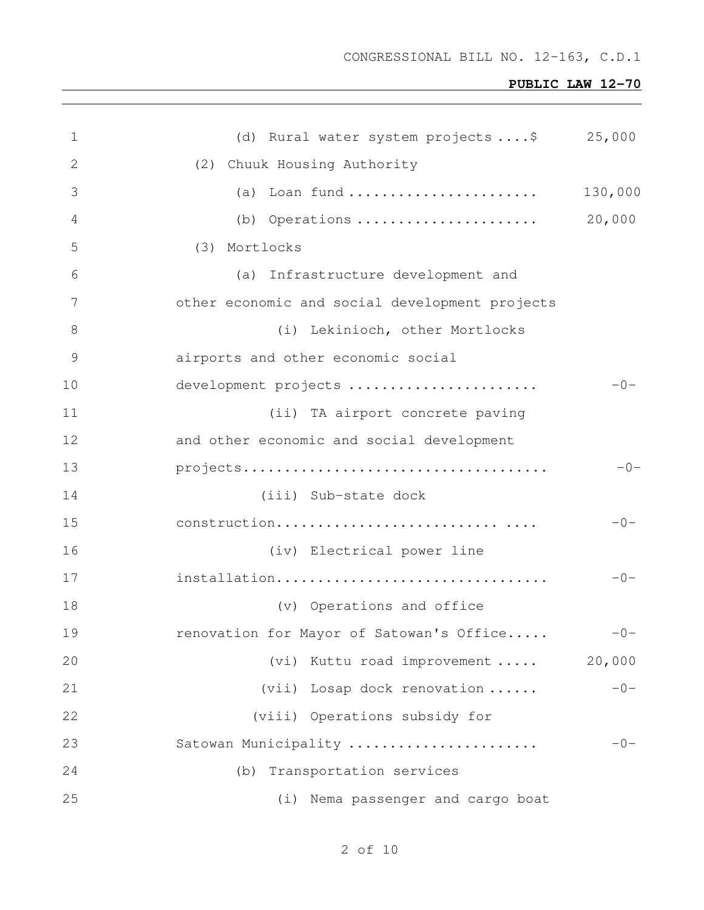| $\mathbf 1$     | (d) Rural water system projects  \$ 25,000     |         |
|-----------------|------------------------------------------------|---------|
| 2               | (2) Chuuk Housing Authority                    |         |
| 3               | (a) Loan fund                                  | 130,000 |
| 4               | (b) Operations                                 | 20,000  |
| 5               | (3) Mortlocks                                  |         |
| 6               | (a) Infrastructure development and             |         |
| $7\phantom{.0}$ | other economic and social development projects |         |
| 8               | (i) Lekinioch, other Mortlocks                 |         |
| 9               | airports and other economic social             |         |
| 10              | development projects                           | $-0-$   |
| 11              | (ii) TA airport concrete paving                |         |
| 12              | and other economic and social development      |         |
| 13              |                                                | $-0-$   |
| 14              | (iii) Sub-state dock                           |         |
| 15              | construction                                   | $-0-$   |
| 16              | (iv) Electrical power line                     |         |
| 17              | installation                                   | $-0-$   |
| 18              | (v) Operations and office                      |         |
| 19              | renovation for Mayor of Satowan's Office       | $-0-$   |
| 20              | (vi) Kuttu road improvement                    | 20,000  |
| 21              | (vii) Losap dock renovation                    | $-0-$   |
| 22              | (viii) Operations subsidy for                  |         |
| 23              | Satowan Municipality                           | $-0-$   |
| 24              | Transportation services<br>(b)                 |         |
| 25              | (i) Nema passenger and cargo boat              |         |

# of 10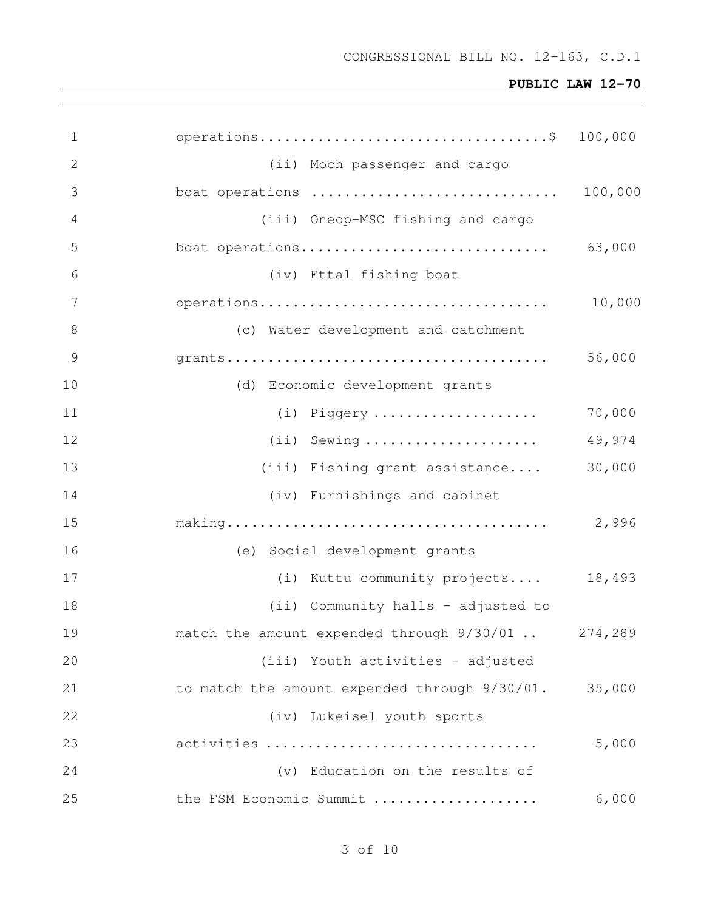| $\mathbf 1$    |                                                    |         |
|----------------|----------------------------------------------------|---------|
| 2              | (ii) Moch passenger and cargo                      |         |
| 3              | boat operations                                    | 100,000 |
| $\overline{4}$ | (iii) Oneop-MSC fishing and cargo                  |         |
| 5              | boat operations                                    | 63,000  |
| 6              | (iv) Ettal fishing boat                            |         |
| 7              |                                                    | 10,000  |
| 8              | (c) Water development and catchment                |         |
| 9              |                                                    | 56,000  |
| 10             | (d) Economic development grants                    |         |
| 11             | $(i)$ Piggery                                      | 70,000  |
| 12             | $(i)$ Sewing                                       | 49,974  |
| 13             | (iii) Fishing grant assistance                     | 30,000  |
| 14             | (iv) Furnishings and cabinet                       |         |
| 15             |                                                    | 2,996   |
| 16             | (e) Social development grants                      |         |
| 17             | (i) Kuttu community projects                       | 18,493  |
| 18             | (ii) Community halls - adjusted to                 |         |
| 19             | match the amount expended through 9/30/01  274,289 |         |
| 20             | (iii) Youth activities - adjusted                  |         |
| 21             | to match the amount expended through 9/30/01.      | 35,000  |
| 22             | (iv) Lukeisel youth sports                         |         |
| 23             | activities                                         | 5,000   |
| 24             | (v) Education on the results of                    |         |
| 25             | the FSM Economic Summit                            | 6,000   |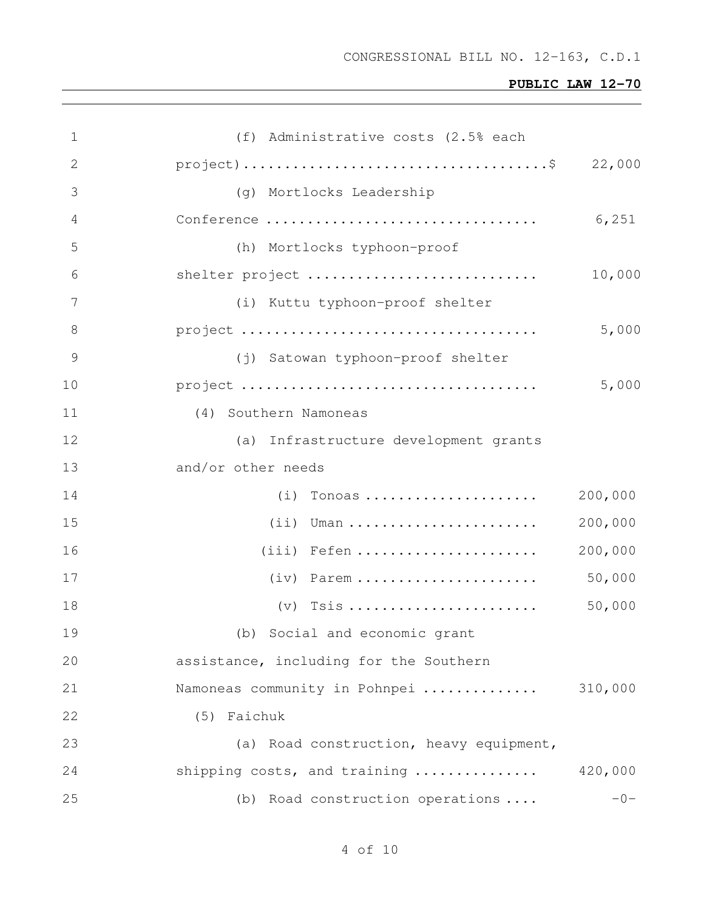| 1             | (f) Administrative costs (2.5% each                                                             |         |
|---------------|-------------------------------------------------------------------------------------------------|---------|
| $\mathbf{2}$  | $\text{project}) \dots \dots \dots \dots \dots \dots \dots \dots \dots \dots \dots \dots \dots$ | 22,000  |
| 3             | (g) Mortlocks Leadership                                                                        |         |
| 4             | Conference                                                                                      | 6,251   |
| 5             | (h) Mortlocks typhoon-proof                                                                     |         |
| 6             | shelter project                                                                                 | 10,000  |
| 7             | (i) Kuttu typhoon-proof shelter                                                                 |         |
| 8             |                                                                                                 | 5,000   |
| $\mathcal{G}$ | (j) Satowan typhoon-proof shelter                                                               |         |
| 10            |                                                                                                 | 5,000   |
| 11            | (4) Southern Namoneas                                                                           |         |
| 12            | (a) Infrastructure development grants                                                           |         |
| 13            | and/or other needs                                                                              |         |
| 14            | $(i)$ Tonoas                                                                                    | 200,000 |
| 15            | $(i)$ Uman                                                                                      | 200,000 |
| 16            | $(iii)$ Fefen                                                                                   | 200,000 |
| 17            | $(iv)$ Parem                                                                                    | 50,000  |
| 18            | $(v)$ Tsis                                                                                      | 50,000  |
| 19            | (b) Social and economic grant                                                                   |         |
| 20            | assistance, including for the Southern                                                          |         |
| 21            | Namoneas community in Pohnpei                                                                   | 310,000 |
| 22            | (5) Faichuk                                                                                     |         |
| 23            | (a) Road construction, heavy equipment,                                                         |         |
| 24            | shipping costs, and training                                                                    | 420,000 |
| 25            | (b) Road construction operations                                                                | $-0-$   |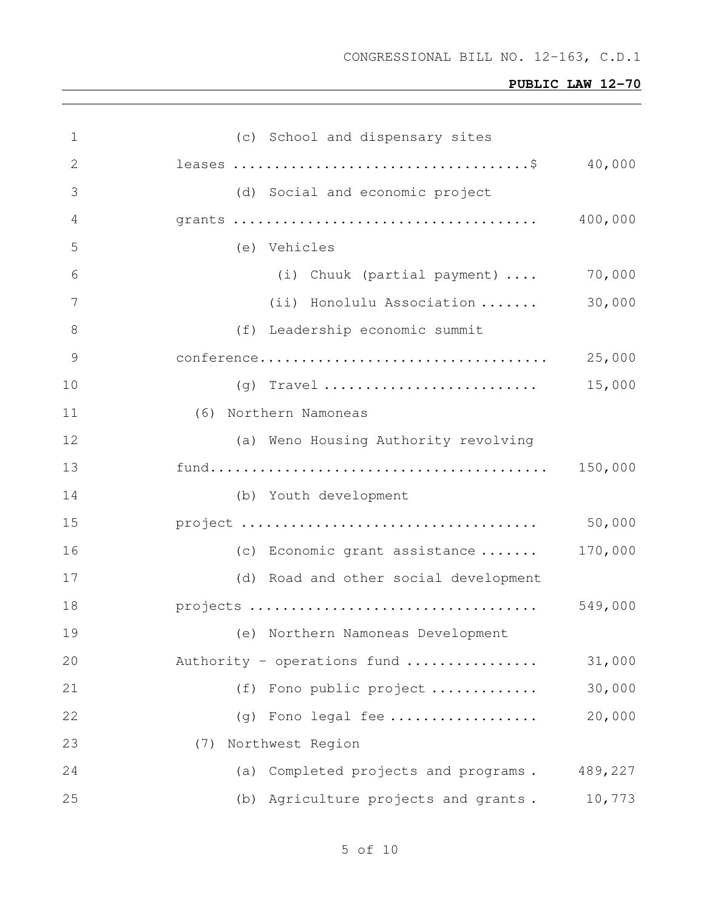| 1  | (c) School and dispensary sites         |         |
|----|-----------------------------------------|---------|
| 2  |                                         | 40,000  |
| 3  | (d) Social and economic project         |         |
| 4  |                                         | 400,000 |
| 5  | (e) Vehicles                            |         |
| 6  | (i) Chuuk (partial payment)             | 70,000  |
| 7  | (ii) Honolulu Association               | 30,000  |
| 8  | (f) Leadership economic summit          |         |
| 9  |                                         | 25,000  |
| 10 |                                         | 15,000  |
| 11 | (6) Northern Namoneas                   |         |
| 12 | (a) Weno Housing Authority revolving    |         |
| 13 |                                         |         |
| 14 | (b) Youth development                   |         |
| 15 |                                         | 50,000  |
| 16 | (c) Economic grant assistance           | 170,000 |
| 17 | (d) Road and other social development   |         |
| 18 |                                         | 549,000 |
| 19 | (e) Northern Namoneas Development       |         |
| 20 | Authority - operations fund             | 31,000  |
| 21 | Fono public project<br>(f)              | 30,000  |
| 22 | Fono legal fee<br>(q)                   | 20,000  |
| 23 | Northwest Region<br>(7)                 |         |
| 24 | Completed projects and programs.<br>(a) | 489,227 |
| 25 | (b) Agriculture projects and grants.    | 10,773  |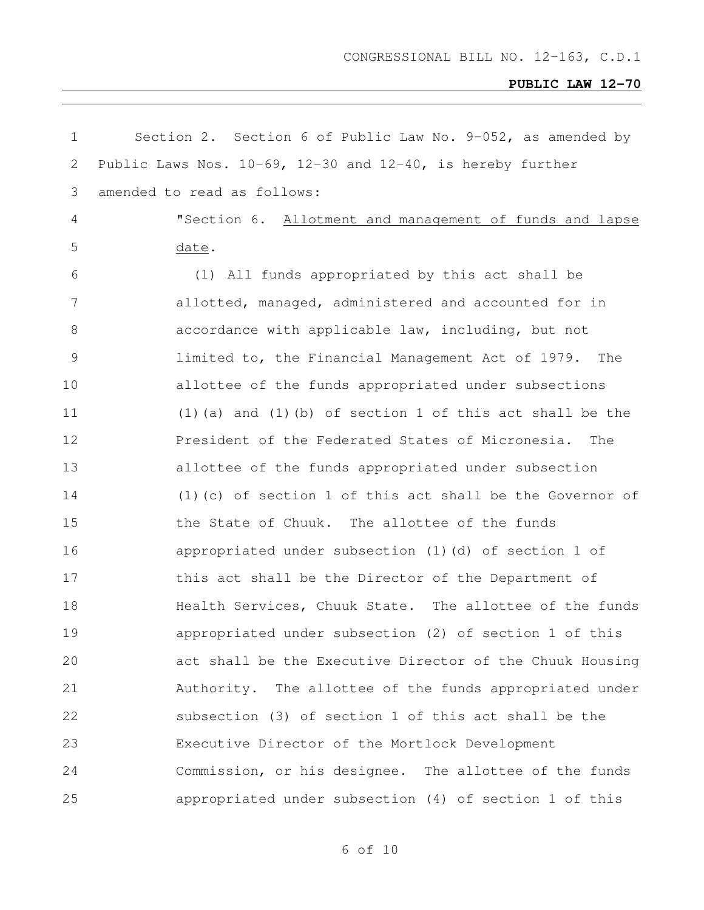| $\mathbf 1$   | Section 2. Section 6 of Public Law No. 9-052, as amended by        |
|---------------|--------------------------------------------------------------------|
| 2             | Public Laws Nos. $10-69$ , $12-30$ and $12-40$ , is hereby further |
| 3             | amended to read as follows:                                        |
| 4             | "Section 6. Allotment and management of funds and lapse            |
| 5             | date.                                                              |
| 6             | (1) All funds appropriated by this act shall be                    |
| 7             | allotted, managed, administered and accounted for in               |
| 8             | accordance with applicable law, including, but not                 |
| $\mathcal{G}$ | limited to, the Financial Management Act of 1979.<br>The           |
| 10            | allottee of the funds appropriated under subsections               |
| 11            | $(1)$ (a) and $(1)$ (b) of section 1 of this act shall be the      |
| 12            | President of the Federated States of Micronesia.<br>The            |
| 13            | allottee of the funds appropriated under subsection                |
| 14            | $(1)$ (c) of section 1 of this act shall be the Governor of        |
| 15            | the State of Chuuk. The allottee of the funds                      |
| 16            | appropriated under subsection (1)(d) of section 1 of               |
| 17            | this act shall be the Director of the Department of                |
| 18            | Health Services, Chuuk State. The allottee of the funds            |
| 19            | appropriated under subsection (2) of section 1 of this             |
| 20            | act shall be the Executive Director of the Chuuk Housing           |
| 21            | Authority. The allottee of the funds appropriated under            |
| 22            | subsection (3) of section 1 of this act shall be the               |
| 23            | Executive Director of the Mortlock Development                     |
| 24            | Commission, or his designee. The allottee of the funds             |
| 25            | appropriated under subsection (4) of section 1 of this             |

of 10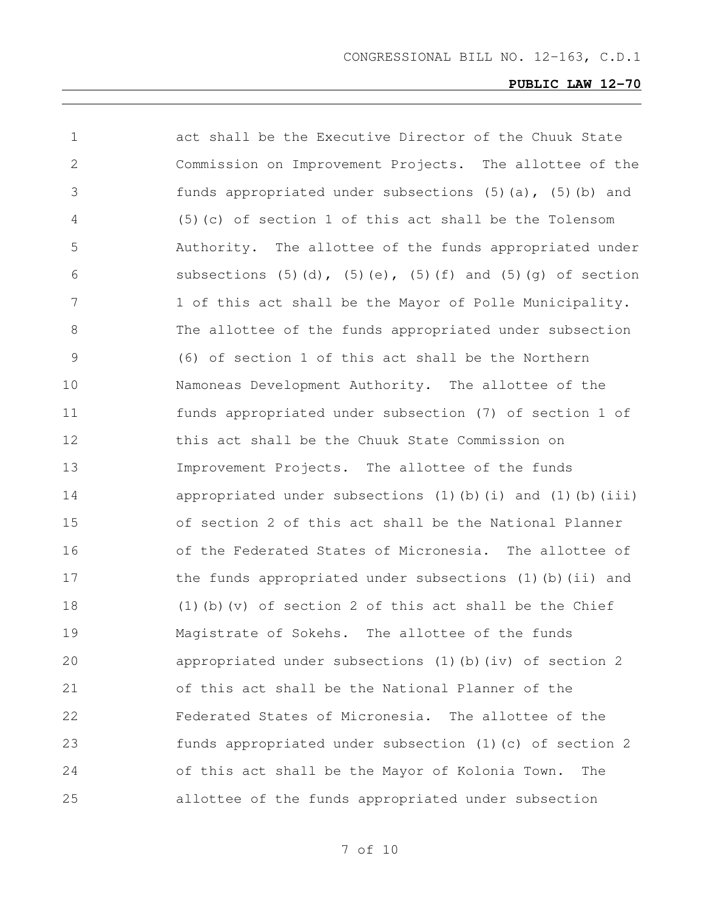| $\mathbf 1$   | act shall be the Executive Director of the Chuuk State                         |
|---------------|--------------------------------------------------------------------------------|
| 2             | Commission on Improvement Projects. The allottee of the                        |
| 3             | funds appropriated under subsections (5)(a), (5)(b) and                        |
| 4             | (5) (c) of section 1 of this act shall be the Tolensom                         |
| 5             | Authority. The allottee of the funds appropriated under                        |
| 6             | subsections $(5)$ $(d)$ , $(5)$ $(e)$ , $(5)$ $(f)$ and $(5)$ $(g)$ of section |
| 7             | 1 of this act shall be the Mayor of Polle Municipality.                        |
| 8             | The allottee of the funds appropriated under subsection                        |
| $\mathcal{G}$ | (6) of section 1 of this act shall be the Northern                             |
| 10            | Namoneas Development Authority. The allottee of the                            |
| 11            | funds appropriated under subsection (7) of section 1 of                        |
| 12            | this act shall be the Chuuk State Commission on                                |
| 13            | Improvement Projects. The allottee of the funds                                |
| 14            | appropriated under subsections (1)(b)(i) and (1)(b)(iii)                       |
| 15            | of section 2 of this act shall be the National Planner                         |
| 16            | of the Federated States of Micronesia. The allottee of                         |
| 17            | the funds appropriated under subsections (1)(b)(ii) and                        |
| 18            | $(1)$ (b) (v) of section 2 of this act shall be the Chief                      |
| 19            | Magistrate of Sokehs. The allottee of the funds                                |
| 20            | appropriated under subsections (1) (b) (iv) of section 2                       |
| 21            | of this act shall be the National Planner of the                               |
| 22            | Federated States of Micronesia. The allottee of the                            |
| 23            | funds appropriated under subsection (1)(c) of section 2                        |
| 24            | of this act shall be the Mayor of Kolonia Town.<br>The                         |
| 25            | allottee of the funds appropriated under subsection                            |
|               |                                                                                |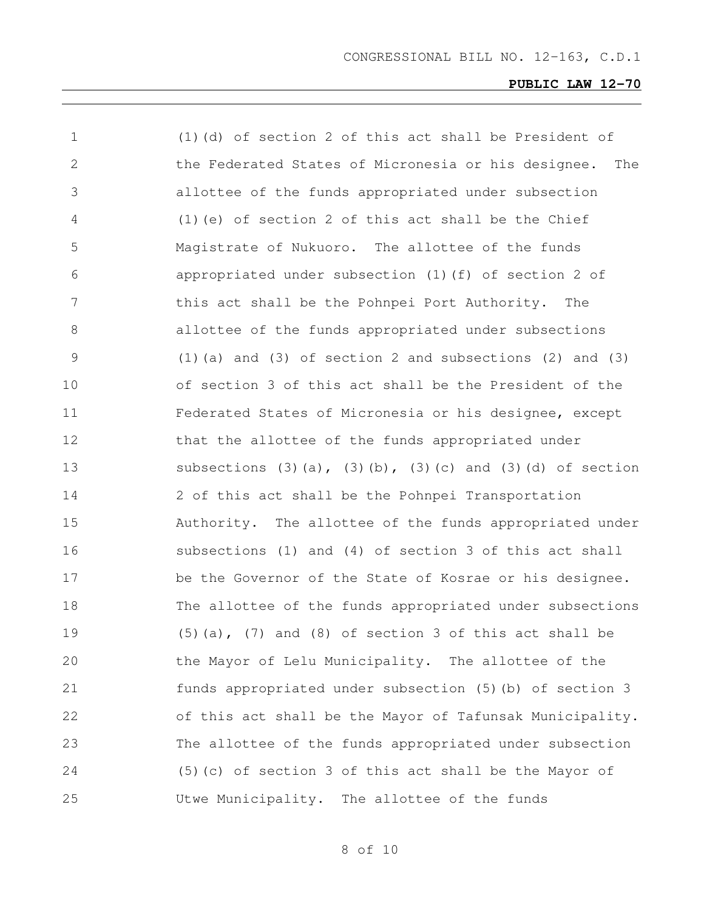| $\mathbf 1$ | (1) (d) of section 2 of this act shall be President of                         |
|-------------|--------------------------------------------------------------------------------|
| 2           | the Federated States of Micronesia or his designee.<br>The                     |
| 3           | allottee of the funds appropriated under subsection                            |
| 4           | (1) (e) of section 2 of this act shall be the Chief                            |
| 5           | Magistrate of Nukuoro. The allottee of the funds                               |
| 6           | appropriated under subsection (1) (f) of section 2 of                          |
| 7           | this act shall be the Pohnpei Port Authority.<br>The                           |
| 8           | allottee of the funds appropriated under subsections                           |
| 9           | $(1)$ (a) and $(3)$ of section 2 and subsections $(2)$ and $(3)$               |
| 10          | of section 3 of this act shall be the President of the                         |
| 11          | Federated States of Micronesia or his designee, except                         |
| 12          | that the allottee of the funds appropriated under                              |
| 13          | subsections $(3)$ $(a)$ , $(3)$ $(b)$ , $(3)$ $(c)$ and $(3)$ $(d)$ of section |
| 14          | 2 of this act shall be the Pohnpei Transportation                              |
| 15          | Authority. The allottee of the funds appropriated under                        |
| 16          | subsections (1) and (4) of section 3 of this act shall                         |
| 17          | be the Governor of the State of Kosrae or his designee.                        |
| 18          | The allottee of the funds appropriated under subsections                       |
| 19          | $(5)$ (a), $(7)$ and (8) of section 3 of this act shall be                     |
| 20          | the Mayor of Lelu Municipality. The allottee of the                            |
| 21          | funds appropriated under subsection (5) (b) of section 3                       |
| 22          | of this act shall be the Mayor of Tafunsak Municipality.                       |
| 23          | The allottee of the funds appropriated under subsection                        |
| 24          | (5) (c) of section 3 of this act shall be the Mayor of                         |
| 25          | Utwe Municipality.<br>The allottee of the funds                                |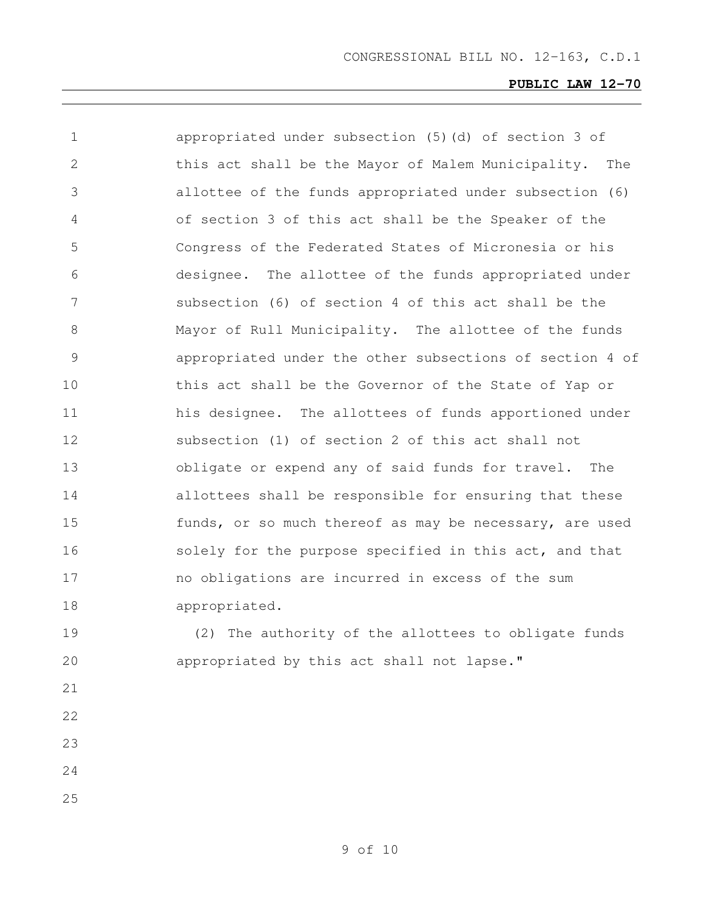| $\mathbf 1$   | appropriated under subsection (5)(d) of section 3 of     |
|---------------|----------------------------------------------------------|
| 2             | this act shall be the Mayor of Malem Municipality. The   |
| 3             | allottee of the funds appropriated under subsection (6)  |
| 4             | of section 3 of this act shall be the Speaker of the     |
| 5             | Congress of the Federated States of Micronesia or his    |
| 6             | designee. The allottee of the funds appropriated under   |
| 7             | subsection (6) of section 4 of this act shall be the     |
| 8             | Mayor of Rull Municipality. The allottee of the funds    |
| $\mathcal{G}$ | appropriated under the other subsections of section 4 of |
| 10            | this act shall be the Governor of the State of Yap or    |
| 11            | his designee. The allottees of funds apportioned under   |
| 12            | subsection (1) of section 2 of this act shall not        |
| 13            | obligate or expend any of said funds for travel. The     |
| 14            | allottees shall be responsible for ensuring that these   |
| 15            | funds, or so much thereof as may be necessary, are used  |
| 16            | solely for the purpose specified in this act, and that   |
| 17            | no obligations are incurred in excess of the sum         |
| 18            | appropriated.                                            |
| 19            | (2) The authority of the allottees to obligate funds     |
| 20            | appropriated by this act shall not lapse."               |
| 21            |                                                          |
| 22            |                                                          |
| 23            |                                                          |
| 24            |                                                          |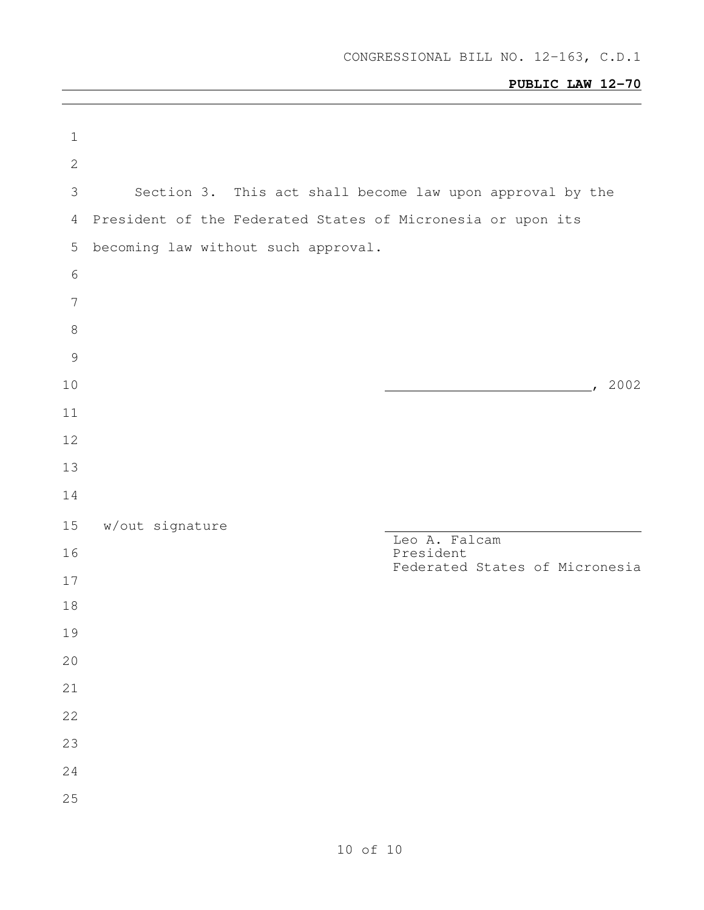| $\mathbf 1$     |                                                             |                                |
|-----------------|-------------------------------------------------------------|--------------------------------|
| $\sqrt{2}$      |                                                             |                                |
| 3               | Section 3. This act shall become law upon approval by the   |                                |
| $\overline{4}$  | President of the Federated States of Micronesia or upon its |                                |
| 5               | becoming law without such approval.                         |                                |
| 6               |                                                             |                                |
| $7\phantom{.0}$ |                                                             |                                |
| $\,8\,$         |                                                             |                                |
| $\mathcal{G}$   |                                                             |                                |
| 10              |                                                             | , 2002                         |
| 11              |                                                             |                                |
| 12              |                                                             |                                |
| 13<br>14        |                                                             |                                |
|                 |                                                             |                                |
| 15<br>16        | w/out signature                                             | Leo A. Falcam<br>President     |
| 17              |                                                             | Federated States of Micronesia |
| 18              |                                                             |                                |
| 19              |                                                             |                                |
| 20              |                                                             |                                |
| 21              |                                                             |                                |
| 22              |                                                             |                                |
| 23              |                                                             |                                |
| 24              |                                                             |                                |
| 25              |                                                             |                                |